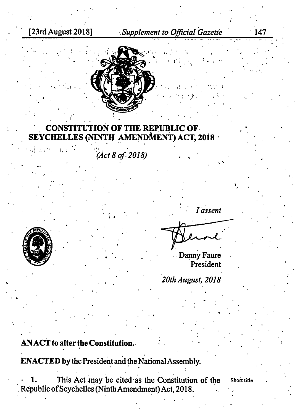[23rd August 2018]

Supplement to Official Gazette

 $\cdot$  147



## **CONSTITUTION OF THE REPUBLIC OF SEYCHELLES (NINTH AMENDMENT) ACT, 2018**

(Act 8 of 2018)



Danny Faure President

20th August, 2018

## **ANACT** to alter the Constitution.

**ENACTED** by the President and the National Assembly.

This Act may be cited as the Constitution of the 1. Republic of Seychelles (Ninth Amendment) Act, 2018.

Short title